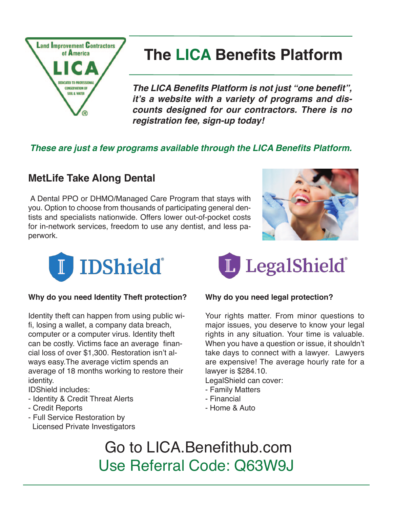

# **The LICA Benefits Platform**

*The LICA Benefits Platform is not just "one benefit", it's a website with a variety of programs and discounts designed for our contractors. There is no registration fee, sign-up today!*

### *These are just a few programs available through the LICA Benefits Platform.*

### **MetLife Take Along Dental**

 A Dental PPO or DHMO/Managed Care Program that stays with you. Option to choose from thousands of participating general dentists and specialists nationwide. Offers lower out-of-pocket costs for in-network services, freedom to use any dentist, and less paperwork.





#### **Why do you need Identity Theft protection?**

Identity theft can happen from using public wifi, losing a wallet, a company data breach, computer or a computer virus. Identity theft can be costly. Victims face an average financial loss of over \$1,300. Restoration isn't always easy.The average victim spends an average of 18 months working to restore their identity.

#### IDShield includes:

- Identity & Credit Threat Alerts
- Credit Reports
- Full Service Restoration by Licensed Private Investigators



#### **Why do you need legal protection?**

Your rights matter. From minor questions to major issues, you deserve to know your legal rights in any situation. Your time is valuable. When you have a question or issue, it shouldn't take days to connect with a lawyer. Lawyers are expensive! The average hourly rate for a lawyer is \$284.10.

LegalShield can cover:

- Family Matters
- Financial
- Home & Auto

 Go to LICA.Benefithub.com Use Referral Code: Q63W9J